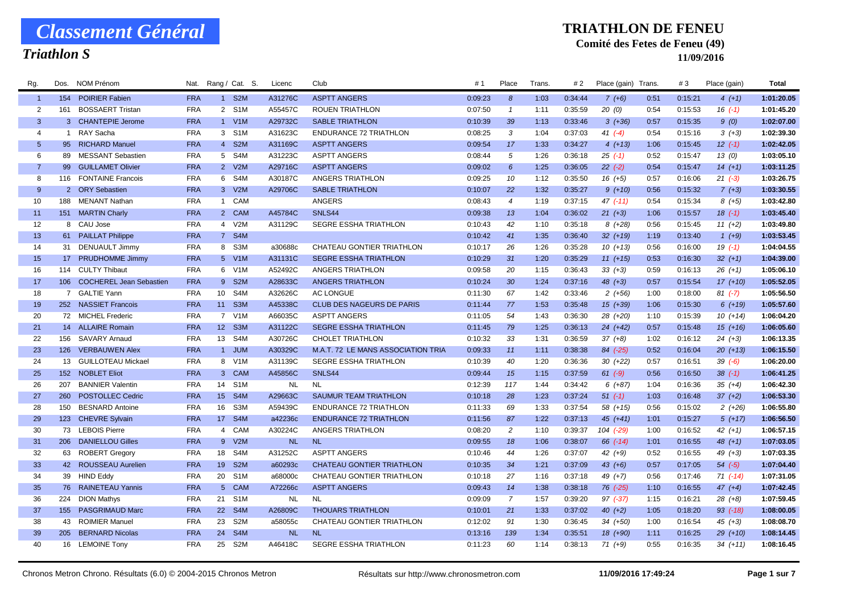## *Triathlon S*

#### **TRIATHLON DE FENEU**

### **Comité des Fetes de Feneu (49)**

| Rg.            | Dos. | NOM Prénom                  | Nat.       |                  | Rang / Cat. S.   | Licenc    | Club                               | #1      | Place          | Trans. | # 2     | Place (gain) Trans. |      | #3      | Place (gain) | Total      |
|----------------|------|-----------------------------|------------|------------------|------------------|-----------|------------------------------------|---------|----------------|--------|---------|---------------------|------|---------|--------------|------------|
| -1             |      | 154 POIRIER Fabien          | <b>FRA</b> |                  | 1 S2M            | A31276C   | <b>ASPTT ANGERS</b>                | 0:09:23 | 8              | 1:03   | 0:34:44 | $7(+6)$             | 0:51 | 0:15:21 | $4(+1)$      | 1:01:20.05 |
| $\overline{2}$ | 161  | <b>BOSSAERT Tristan</b>     | <b>FRA</b> |                  | 2 S1M            | A55457C   | <b>ROUEN TRIATHLON</b>             | 0:07:50 | $\overline{1}$ | 1:11   | 0:35:59 | 20(0)               | 0:54 | 0:15:53 | $16( -1)$    | 1:01:45.20 |
| $\mathbf{3}$   |      | 3 CHANTEPIE Jerome          | <b>FRA</b> |                  | 1 V1M            | A29732C   | <b>SABLE TRIATHLON</b>             | 0:10:39 | 39             | 1:13   | 0:33:46 | $3(+36)$            | 0:57 | 0:15:35 | 9(0)         | 1:02:07.00 |
| $\overline{4}$ |      | 1 RAY Sacha                 | <b>FRA</b> |                  | 3 S1M            | A31623C   | <b>ENDURANCE 72 TRIATHLON</b>      | 0:08:25 | 3              | 1:04   | 0:37:03 | $41 (-4)$           | 0:54 | 0:15:16 | $3(+3)$      | 1:02:39.30 |
| 5              |      | 95 RICHARD Manuel           | <b>FRA</b> |                  | 4 S2M            | A31169C   | <b>ASPTT ANGERS</b>                | 0:09:54 | 17             | 1:33   | 0:34:27 | $4(+13)$            | 1:06 | 0:15:45 | $12( -1)$    | 1:02:42.05 |
| 6              |      | 89 MESSANT Sebastien        | <b>FRA</b> | 5 <sup>5</sup>   | S4M              | A31223C   | <b>ASPTT ANGERS</b>                | 0:08:44 | 5              | 1:26   | 0:36:18 | $25$ $(-1)$         | 0:52 | 0:15:47 | 13(0)        | 1:03:05.10 |
| -7             |      | 99 GUILLAMET Olivier        | <b>FRA</b> |                  | 2 V2M            | A29716C   | <b>ASPTT ANGERS</b>                | 0:09:02 | 6              | 1:25   | 0:36:05 | $22 (-2)$           | 0:54 | 0:15:47 | $14(+1)$     | 1:03:11.25 |
| -8             |      | 116 FONTAINE Francois       | <b>FRA</b> |                  | 6 S4M            | A30187C   | ANGERS TRIATHLON                   | 0:09:25 | 10             | 1:12   | 0:35:50 | $16(+5)$            | 0:57 | 0:16:06 | $21 (-3)$    | 1:03:26.75 |
| 9              |      | 2 ORY Sebastien             | <b>FRA</b> |                  | 3 V2M            | A29706C   | <b>SABLE TRIATHLON</b>             | 0:10:07 | 22             | 1:32   | 0:35:27 | $9(+10)$            | 0:56 | 0:15:32 | $7(+3)$      | 1:03:30.55 |
| 10             | 188  | <b>MENANT Nathan</b>        | <b>FRA</b> |                  | 1 CAM            |           | <b>ANGERS</b>                      | 0:08:43 | $\overline{4}$ | 1:19   | 0:37:15 | $47$ (-11)          | 0:54 | 0:15:34 | $8(+5)$      | 1:03:42.80 |
| 11             |      | 151 MARTIN Charly           | <b>FRA</b> |                  | 2 CAM            | A45784C   | SNLS44                             | 0:09:38 | 13             | 1:04   | 0:36:02 | $21 (+3)$           | 1:06 | 0:15:57 | $18(-1)$     | 1:03:45.40 |
| 12             |      | 8 CAU Jose                  | <b>FRA</b> |                  | 4 V2M            | A31129C   | SEGRE ESSHA TRIATHLON              | 0:10:43 | 42             | 1:10   | 0:35:18 | $8(+28)$            | 0:56 | 0:15:45 | $11 (+2)$    | 1:03:49.80 |
| 13             |      | 61 PAILLAT Philippe         | <b>FRA</b> |                  | 7 S4M            |           |                                    | 0:10:42 | 41             | 1:35   | 0:36:40 | $32 (+19)$          | 1:19 | 0:13:40 | $1 (+9)$     | 1:03:53.45 |
| 14             |      | 31 DENUAULT Jimmy           | <b>FRA</b> |                  | 8 S3M            | a30688c   | CHATEAU GONTIER TRIATHLON          | 0:10:17 | 26             | 1:26   | 0:35:28 | $10(+13)$           | 0:56 | 0:16:00 | $19( -1)$    | 1:04:04.55 |
| 15             |      | 17 PRUDHOMME Jimmy          | <b>FRA</b> |                  | 5 V1M            | A31131C   | <b>SEGRE ESSHA TRIATHLON</b>       | 0:10:29 | 31             | 1:20   | 0:35:29 | $11 (+15)$          | 0:53 | 0:16:30 | $32 (+1)$    | 1:04:39.00 |
| 16             |      | 114 CULTY Thibaut           | <b>FRA</b> |                  | 6 V1M            | A52492C   | ANGERS TRIATHLON                   | 0:09:58 | 20             | 1:15   | 0:36:43 | $33 (+3)$           | 0:59 | 0:16:13 | $26(+1)$     | 1:05:06.10 |
| 17             |      | 106 COCHEREL Jean Sebastien | <b>FRA</b> | 9                | S <sub>2M</sub>  | A28633C   | <b>ANGERS TRIATHLON</b>            | 0:10:24 | 30             | 1:24   | 0:37:16 | $48 (+3)$           | 0:57 | 0:15:54 | $17(+10)$    | 1:05:52.05 |
| 18             |      | 7 GALTIE Yann               | <b>FRA</b> | 10 <sup>10</sup> | S4M              | A32626C   | <b>AC LONGUE</b>                   | 0:11:30 | 67             | 1:42   | 0:33:46 | $2(+56)$            | 1:00 | 0:18:00 | $81 (-7)$    | 1:05:56.50 |
| 19             |      | 252 NASSIET Francois        | <b>FRA</b> |                  | 11 S3M           | A45338C   | <b>CLUB DES NAGEURS DE PARIS</b>   | 0:11:44 | 77             | 1:53   | 0:35:48 | $15(+39)$           | 1:06 | 0:15:30 | $6(+19)$     | 1:05:57.60 |
| 20             |      | 72 MICHEL Frederic          | <b>FRA</b> |                  | 7 V1M            | A66035C   | <b>ASPTT ANGERS</b>                | 0:11:05 | 54             | 1:43   | 0:36:30 | 28 (+20)            | 1:10 | 0:15:39 | $10(+14)$    | 1:06:04.20 |
| 21             |      | 14 ALLAIRE Romain           | <b>FRA</b> | 12 <sup>7</sup>  | S <sub>3</sub> M | A31122C   | <b>SEGRE ESSHA TRIATHLON</b>       | 0:11:45 | 79             | 1:25   | 0:36:13 | $24 (+42)$          | 0:57 | 0:15:48 | $15(+16)$    | 1:06:05.60 |
| 22             |      | 156 SAVARY Arnaud           | <b>FRA</b> | 13               | S4M              | A30726C   | <b>CHOLET TRIATHLON</b>            | 0:10:32 | 33             | 1:31   | 0:36:59 | $37 (+8)$           | 1:02 | 0:16:12 | $24(+3)$     | 1:06:13.35 |
| 23             |      | 126 VERBAUWEN Alex          | <b>FRA</b> |                  | 1 JUM            | A30329C   | M.A.T. 72 LE MANS ASSOCIATION TRIA | 0:09:33 | 11             | 1:11   | 0:38:38 | $84$ (-25)          | 0:52 | 0:16:04 | $20(+13)$    | 1:06:15.50 |
| 24             |      | 13 GUILLOTEAU Mickael       | <b>FRA</b> |                  | 8 V1M            | A31139C   | <b>SEGRE ESSHA TRIATHLON</b>       | 0:10:39 | 40             | 1:20   | 0:36:36 | $30(+22)$           | 0:57 | 0:16:51 | $39(-6)$     | 1:06:20.00 |
| 25             |      | 152 NOBLET Eliot            | <b>FRA</b> |                  | 3 CAM            | A45856C   | SNLS44                             | 0:09:44 | 15             | 1:15   | 0:37:59 | $61 (-9)$           | 0:56 | 0:16:50 | $38$ $(-1)$  | 1:06:41.25 |
| 26             | 207  | <b>BANNIER Valentin</b>     | <b>FRA</b> | 14               | S <sub>1</sub> M | <b>NL</b> | <b>NL</b>                          | 0:12:39 | 117            | 1:44   | 0:34:42 | $6 (+87)$           | 1:04 | 0:16:36 | $35 (+4)$    | 1:06:42.30 |
| 27             | 260  | <b>POSTOLLEC Cedric</b>     | <b>FRA</b> | 15               | S <sub>4</sub> M | A29663C   | <b>SAUMUR TEAM TRIATHLON</b>       | 0:10:18 | 28             | 1:23   | 0:37:24 | $51(-1)$            | 1:03 | 0:16:48 | $37 (+2)$    | 1:06:53.30 |
| 28             | 150  | <b>BESNARD Antoine</b>      | <b>FRA</b> | 16               | S3M              | A59439C   | <b>ENDURANCE 72 TRIATHLON</b>      | 0:11:33 | 69             | 1:33   | 0:37:54 | $58(+15)$           | 0:56 | 0:15:02 | $2(+26)$     | 1:06:55.80 |
| 29             |      | 123 CHEVRE Sylvain          | <b>FRA</b> | 17 <sup>2</sup>  | S4M              | a42236c   | <b>ENDURANCE 72 TRIATHLON</b>      | 0:11:56 | 87             | 1:22   | 0:37:13 | $45 (+41)$          | 1:01 | 0:15:27 | $5(+17)$     | 1:06:56.50 |
| 30             |      | 73 LEBOIS Pierre            | <b>FRA</b> | $\overline{4}$   | CAM              | A30224C   | ANGERS TRIATHLON                   | 0:08:20 | 2              | 1:10   | 0:39:37 | 104 (-29)           | 1:00 | 0:16:52 | $42(+1)$     | 1:06:57.15 |
| 31             |      | 206 DANIELLOU Gilles        | <b>FRA</b> | 9                | V2M              | <b>NL</b> | <b>NL</b>                          | 0:09:55 | 18             | 1:06   | 0:38:07 | $66$ $(-14)$        | 1:01 | 0:16:55 | $48 (+1)$    | 1:07:03.05 |
| 32             |      | 63 ROBERT Gregory           | <b>FRA</b> | 18               | S4M              | A31252C   | <b>ASPTT ANGERS</b>                | 0:10:46 | 44             | 1:26   | 0:37:07 | 42 $(+9)$           | 0:52 | 0:16:55 | 49 $(+3)$    | 1:07:03.35 |
| 33             |      | 42 ROUSSEAU Aurelien        | <b>FRA</b> | 19               | S <sub>2</sub> M | a60293c   | <b>CHATEAU GONTIER TRIATHLON</b>   | 0:10:35 | 34             | 1:21   | 0:37:09 | $43(+6)$            | 0:57 | 0:17:05 | $54$ $(-5)$  | 1:07:04.40 |
| 34             |      | 39 HIND Eddy                | <b>FRA</b> | 20               | S <sub>1</sub> M | a68000c   | CHATEAU GONTIER TRIATHLON          | 0:10:18 | 27             | 1:16   | 0:37:18 | 49 $(+7)$           | 0:56 | 0:17:46 | $71$ (-14)   | 1:07:31.05 |
| 35             |      | 76 RAINETEAU Yannis         | <b>FRA</b> |                  | 5 CAM            | A72266c   | <b>ASPTT ANGERS</b>                | 0:09:43 | 14             | 1:38   | 0:38:18 | $76$ $(-25)$        | 1:10 | 0:16:55 | $47 (+4)$    | 1:07:42.45 |
| 36             |      | 224 DION Mathys             | <b>FRA</b> | 21               | S1M              | <b>NL</b> | <b>NL</b>                          | 0:09:09 | 7              | 1:57   | 0:39:20 | $97$ (-37)          | 1:15 | 0:16:21 | $28(+8)$     | 1:07:59.45 |
| 37             |      | 155 PASGRIMAUD Marc         | <b>FRA</b> | 22               | S <sub>4</sub> M | A26809C   | <b>THOUARS TRIATHLON</b>           | 0:10:01 | 21             | 1:33   | 0:37:02 | $40 (+2)$           | 1:05 | 0:18:20 | $93$ $(-18)$ | 1:08:00.05 |
| 38             | 43   | <b>ROIMIER Manuel</b>       | <b>FRA</b> | 23               | S <sub>2</sub> M | a58055c   | CHATEAU GONTIER TRIATHLON          | 0:12:02 | 91             | 1:30   | 0:36:45 | $34(+50)$           | 1:00 | 0:16:54 | $45 (+3)$    | 1:08:08.70 |
| 39             | 205  | <b>BERNARD Nicolas</b>      | <b>FRA</b> | 24               | S <sub>4</sub> M | <b>NL</b> | <b>NL</b>                          | 0:13:16 | 139            | 1:34   | 0:35:51 | 18 (+90)            | 1:11 | 0:16:25 | $29(+10)$    | 1:08:14.45 |
| 40             |      | 16 LEMOINE Tony             | <b>FRA</b> | 25               | S2M              | A46418C   | <b>SEGRE ESSHA TRIATHLON</b>       | 0:11:23 | 60             | 1:14   | 0:38:13 | $71(+9)$            | 0:55 | 0:16:35 | $34(+11)$    | 1:08:16.45 |
|                |      |                             |            |                  |                  |           |                                    |         |                |        |         |                     |      |         |              |            |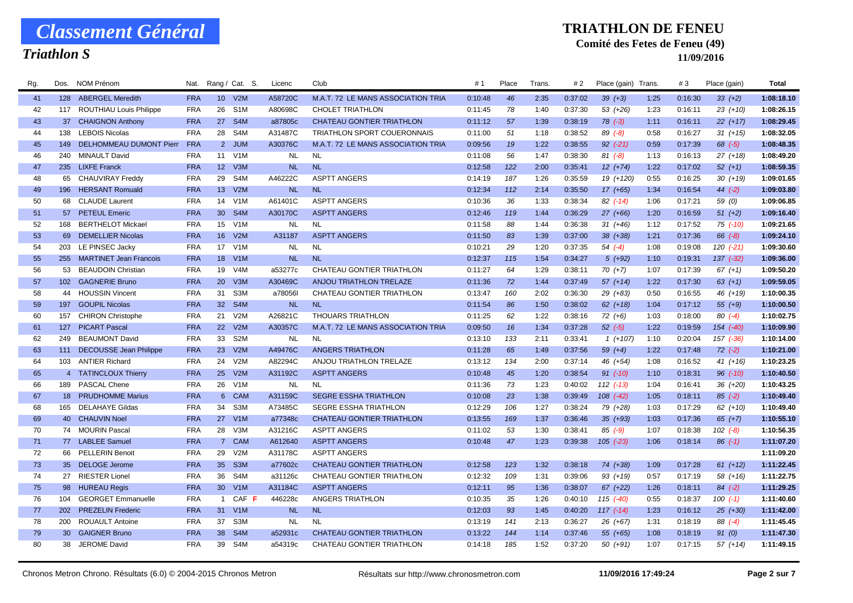## *Triathlon S*

#### **TRIATHLON DE FENEU**

### **Comité des Fetes de Feneu (49)**

| Rg. | Dos.            | NOM Prénom                     | Nat.       |                 | Rang / Cat. S.   | Licenc    | Club                               | #1      | Place | Trans. | # 2     | Place (gain) Trans. |      | #3      | Place (gain)  | Total      |
|-----|-----------------|--------------------------------|------------|-----------------|------------------|-----------|------------------------------------|---------|-------|--------|---------|---------------------|------|---------|---------------|------------|
| 41  |                 | 128 ABERGEL Meredith           | <b>FRA</b> | 10 <sup>1</sup> | V2M              | A58720C   | M.A.T. 72 LE MANS ASSOCIATION TRIA | 0:10:48 | 46    | 2:35   | 0:37:02 | $39(+3)$            | 1:25 | 0:16:30 | $33(+2)$      | 1:08:18.10 |
| 42  | 117             | <b>ROUTHIAU Louis Philippe</b> | <b>FRA</b> | 26              | S <sub>1</sub> M | A80698C   | <b>CHOLET TRIATHLON</b>            | 0:11:45 | 78    | 1:40   | 0:37:30 | $53(+26)$           | 1:23 | 0:16:11 | $23(+10)$     | 1:08:26.15 |
| 43  |                 | 37 CHAIGNON Anthony            | <b>FRA</b> | 27              | S <sub>4</sub> M | a87805c   | <b>CHATEAU GONTIER TRIATHLON</b>   | 0:11:12 | 57    | 1:39   | 0:38:19 | $78$ $(-3)$         | 1:11 | 0:16:11 | $22 (+17)$    | 1:08:29.45 |
| 44  | 138             | <b>LEBOIS Nicolas</b>          | <b>FRA</b> | 28              | S4M              | A31487C   | <b>TRIATHLON SPORT COUERONNAIS</b> | 0:11:00 | 51    | 1:18   | 0:38:52 | $89( -8)$           | 0:58 | 0:16:27 | $31 (+15)$    | 1:08:32.05 |
| 45  | 149             | DELHOMMEAU DUMONT Pierr        | <b>FRA</b> |                 | 2 JUM            | A30376C   | M.A.T. 72 LE MANS ASSOCIATION TRIA | 0:09:56 | 19    | 1:22   | 0:38:55 | $92$ $(-21)$        | 0:59 | 0:17:39 | $68$ $(-5)$   | 1:08:48.35 |
| 46  | 240             | <b>MINAULT David</b>           | <b>FRA</b> | 11              | V1M              | <b>NL</b> | <b>NL</b>                          | 0:11:08 | 56    | 1:47   | 0:38:30 | $81 (-8)$           | 1:13 | 0:16:13 | $27 (+18)$    | 1:08:49.20 |
| 47  | 235             | <b>LIXFE Franck</b>            | <b>FRA</b> | 12 <sup>2</sup> | V <sub>3</sub> M | <b>NL</b> | <b>NL</b>                          | 0:12:58 | 122   | 2:00   | 0:35:41 | $12(+74)$           | 1:22 | 0:17:02 | $52 (+1)$     | 1:08:59.35 |
| 48  |                 | 65 CHAUVIRAY Freddy            | <b>FRA</b> | 29              | S4M              | A46222C   | <b>ASPTT ANGERS</b>                | 0:14:19 | 187   | 1:26   | 0:35:59 | 19 (+120)           | 0:55 | 0:16:25 | $30(+19)$     | 1:09:01.65 |
| 49  |                 | 196 HERSANT Romuald            | <b>FRA</b> | 13              | V2M              | <b>NL</b> | <b>NL</b>                          | 0:12:34 | 112   | 2:14   | 0:35:50 | $17(+65)$           | 1:34 | 0:16:54 | $44(-2)$      | 1:09:03.80 |
| 50  |                 | 68 CLAUDE Laurent              | <b>FRA</b> | 14              | V1M              | A61401C   | <b>ASPTT ANGERS</b>                | 0:10:36 | 36    | 1:33   | 0:38:34 | $82$ (-14)          | 1:06 | 0:17:21 | 59 (0)        | 1:09:06.85 |
| 51  | 57              | <b>PETEUL Emeric</b>           | <b>FRA</b> | 30              | S <sub>4</sub> M | A30170C   | <b>ASPTT ANGERS</b>                | 0:12:46 | 119   | 1:44   | 0:36:29 | $27 (+66)$          | 1:20 | 0:16:59 | $51 (+2)$     | 1:09:16.40 |
| 52  | 168             | BERTHELOT Mickael              | <b>FRA</b> | 15              | V <sub>1</sub> M | <b>NL</b> | <b>NL</b>                          | 0:11:58 | 88    | 1:44   | 0:36:38 | $31 (+46)$          | 1:12 | 0:17:52 | $75$ $(-10)$  | 1:09:21.65 |
| 53  | 69              | <b>DEMELLIER Nicolas</b>       | <b>FRA</b> | 16              | V2M              | A31187    | <b>ASPTT ANGERS</b>                | 0:11:50 | 83    | 1:39   | 0:37:00 | $38 (+38)$          | 1:21 | 0:17:36 | $66 (-8)$     | 1:09:24.10 |
| 54  |                 | 203 LE PINSEC Jacky            | <b>FRA</b> |                 | 17 V1M           | <b>NL</b> | <b>NL</b>                          | 0:10:21 | 29    | 1:20   | 0:37:35 | $54( -4)$           | 1:08 | 0:19:08 | $120( -21)$   | 1:09:30.60 |
| 55  | 255             | <b>MARTINET Jean Francois</b>  | <b>FRA</b> | 18              | V1M              | <b>NL</b> | <b>NL</b>                          | 0:12:37 | 115   | 1:54   | 0:34:27 | $5(+92)$            | 1:10 | 0:19:31 | $137$ $(-32)$ | 1:09:36.00 |
| 56  | 53              | <b>BEAUDOIN Christian</b>      | <b>FRA</b> | 19              | V <sub>4</sub> M | a53277c   | CHATEAU GONTIER TRIATHLON          | 0:11:27 | 64    | 1:29   | 0:38:11 | $70(+7)$            | 1:07 | 0:17:39 | $67 (+1)$     | 1:09:50.20 |
| 57  |                 | 102 GAGNERIE Bruno             | <b>FRA</b> | <b>20</b>       | V3M              | A30469C   | <b>ANJOU TRIATHLON TRELAZE</b>     | 0:11:36 | 72    | 1:44   | 0:37:49 | $57(+14)$           | 1:22 | 0:17:30 | $63 (+1)$     | 1:09:59.05 |
| 58  | 44              | <b>HOUSSIN Vincent</b>         | <b>FRA</b> | 31              | S <sub>3</sub> M | a78056    | CHATEAU GONTIER TRIATHLON          | 0:13:47 | 160   | 2:02   | 0:36:30 | $29(+83)$           | 0:50 | 0:16:55 | 46 (+19)      | 1:10:00.35 |
| 59  |                 | 197 GOUPIL Nicolas             | <b>FRA</b> | 32 <sup>2</sup> | S <sub>4</sub> M | <b>NL</b> | <b>NL</b>                          | 0:11:54 | 86    | 1:50   | 0:38:02 | $62 (+18)$          | 1:04 | 0:17:12 | $55(+9)$      | 1:10:00.50 |
| 60  | 157             | <b>CHIRON Christophe</b>       | <b>FRA</b> | 21              | V <sub>2</sub> M | A26821C   | <b>THOUARS TRIATHLON</b>           | 0:11:25 | 62    | 1:22   | 0:38:16 | $72(+6)$            | 1:03 | 0:18:00 | $80( -4)$     | 1:10:02.75 |
| 61  | 127             | <b>PICART Pascal</b>           | <b>FRA</b> | 22              | V2M              | A30357C   | M.A.T. 72 LE MANS ASSOCIATION TRIA | 0:09:50 | 16    | 1:34   | 0:37:28 | $52$ $(-5)$         | 1:22 | 0:19:59 | 154 (-40)     | 1:10:09.90 |
| 62  | 249             | <b>BEAUMONT David</b>          | <b>FRA</b> | 33              | S <sub>2</sub> M | <b>NL</b> | <b>NL</b>                          | 0:13:10 | 133   | 2:11   | 0:33:41 | $1(+107)$           | 1:10 | 0:20:04 | 157 (-36)     | 1:10:14.00 |
| 63  |                 | 111 DECOUSSE Jean Philippe     | <b>FRA</b> | 23              | V2M              | A49476C   | ANGERS TRIATHLON                   | 0:11:28 | 65    | 1:49   | 0:37:56 | $59(+4)$            | 1:22 | 0:17:48 | $72$ $(-2)$   | 1:10:21.00 |
| 64  |                 | 103 ANTIER Richard             | <b>FRA</b> | 24              | V2M              | A82294C   | ANJOU TRIATHLON TRELAZE            | 0:13:12 | 134   | 2:00   | 0:37:14 | 46 (+54)            | 1:08 | 0:16:52 | $41 (+16)$    | 1:10:23.25 |
| 65  |                 | 4 TATINCLOUX Thierry           | <b>FRA</b> | 25              | V2M              | A31192C   | <b>ASPTT ANGERS</b>                | 0:10:48 | 45    | 1:20   | 0:38:54 | $91 (-10)$          | 1:10 | 0:18:31 | $96$ $(-10)$  | 1:10:40.50 |
| 66  | 189             | <b>PASCAL Chene</b>            | <b>FRA</b> | 26              | V1M              | <b>NL</b> | <b>NL</b>                          | 0:11:36 | 73    | 1:23   | 0:40:02 | $112$ $(-13)$       | 1:04 | 0:16:41 | 36 (+20)      | 1:10:43.25 |
| 67  |                 | 18 PRUDHOMME Marius            | <b>FRA</b> | $6\overline{6}$ | <b>CAM</b>       | A31159C   | <b>SEGRE ESSHA TRIATHLON</b>       | 0:10:08 | 23    | 1:38   | 0:39:49 | $108$ $(-42)$       | 1:05 | 0:18:11 | $85$ (-2)     | 1:10:49.40 |
| 68  | 165             | <b>DELAHAYE Gildas</b>         | <b>FRA</b> | 34              | S3M              | A73485C   | <b>SEGRE ESSHA TRIATHLON</b>       | 0:12:29 | 106   | 1:27   | 0:38:24 | 79 (+28)            | 1:03 | 0:17:29 | $62$ $(+10)$  | 1:10:49.40 |
| 69  |                 | 40 CHAUVIN Noel                | <b>FRA</b> | 27              | V <sub>1</sub> M | a77348c   | <b>CHATEAU GONTIER TRIATHLON</b>   | 0:13:55 | 169   | 1:37   | 0:36:46 | $35(+93)$           | 1:03 | 0:17:36 | $65 (+7)$     | 1:10:55.10 |
| 70  |                 | 74 MOURIN Pascal               | <b>FRA</b> | 28              | V3M              | A31216C   | <b>ASPTT ANGERS</b>                | 0:11:02 | 53    | 1:30   | 0:38:41 | $85( -9)$           | 1:07 | 0:18:38 | $102$ $(-8)$  | 1:10:56.35 |
| 71  |                 | 77 LABLEE Samuel               | <b>FRA</b> | $7^{\circ}$     | <b>CAM</b>       | A612640   | <b>ASPTT ANGERS</b>                | 0:10:48 | 47    | 1:23   | 0:39:38 | $105$ (-23)         | 1:06 | 0:18:14 | $86$ $(-1)$   | 1:11:07.20 |
| 72  |                 | 66 PELLERIN Benoit             | <b>FRA</b> | 29              | V <sub>2</sub> M | A31178C   | <b>ASPTT ANGERS</b>                |         |       |        |         |                     |      |         |               | 1:11:09.20 |
| 73  |                 | 35 DELOGE Jerome               | <b>FRA</b> | 35              | S <sub>3</sub> M | a77602c   | <b>CHATEAU GONTIER TRIATHLON</b>   | 0:12:58 | 123   | 1:32   | 0:38:18 | $74(+38)$           | 1:09 | 0:17:28 | $61 (+12)$    | 1:11:22.45 |
| 74  |                 | 27 RIESTER Lionel              | <b>FRA</b> | 36              | S4M              | a31126c   | <b>CHATEAU GONTIER TRIATHLON</b>   | 0:12:32 | 109   | 1:31   | 0:39:06 | $93 (+19)$          | 0:57 | 0:17:19 | $58(+16)$     | 1:11:22.75 |
| 75  |                 | 98 HUREAU Regis                | <b>FRA</b> | 30 <sup>°</sup> | V1M              | A31184C   | <b>ASPTT ANGERS</b>                | 0:12:11 | 95    | 1:36   | 0:38:07 | $67 (+22)$          | 1:26 | 0:18:11 | $84$ (-2)     | 1:11:29.25 |
| 76  | 104             | <b>GEORGET Emmanuelle</b>      | <b>FRA</b> | $\mathbf{1}$    | CAF              | 446228c   | ANGERS TRIATHLON                   | 0:10:35 | 35    | 1:26   | 0:40:10 | $115$ (-40)         | 0:55 | 0:18:37 | $100(-1)$     | 1:11:40.60 |
| 77  |                 | 202 PREZELIN Frederic          | <b>FRA</b> | 31              | V1M              | <b>NL</b> | <b>NL</b>                          | 0:12:03 | 93    | 1:45   | 0:40:20 | $117(-14)$          | 1:23 | 0:16:12 | $25(+30)$     | 1:11:42.00 |
| 78  | 200             | <b>ROUAULT Antoine</b>         | <b>FRA</b> | 37              | S3M              | <b>NL</b> | <b>NL</b>                          | 0:13:19 | 141   | 2:13   | 0:36:27 | $26(+67)$           | 1:31 | 0:18:19 | $88(-4)$      | 1:11:45.45 |
| 79  | 30 <sup>°</sup> | <b>GAIGNER Bruno</b>           | <b>FRA</b> | 38              | S <sub>4</sub> M | a52931c   | <b>CHATEAU GONTIER TRIATHLON</b>   | 0:13:22 | 144   | 1:14   | 0:37:46 | 55 (+65)            | 1:08 | 0:18:19 | 91(0)         | 1:11:47.30 |
| 80  |                 | 38 JEROME David                | <b>FRA</b> | 39              | S4M              | a54319c   | CHATEAU GONTIER TRIATHLON          | 0:14:18 | 185   | 1:52   | 0:37:20 | $50(+91)$           | 1:07 | 0:17:15 | $57(+14)$     | 1:11:49.15 |
|     |                 |                                |            |                 |                  |           |                                    |         |       |        |         |                     |      |         |               |            |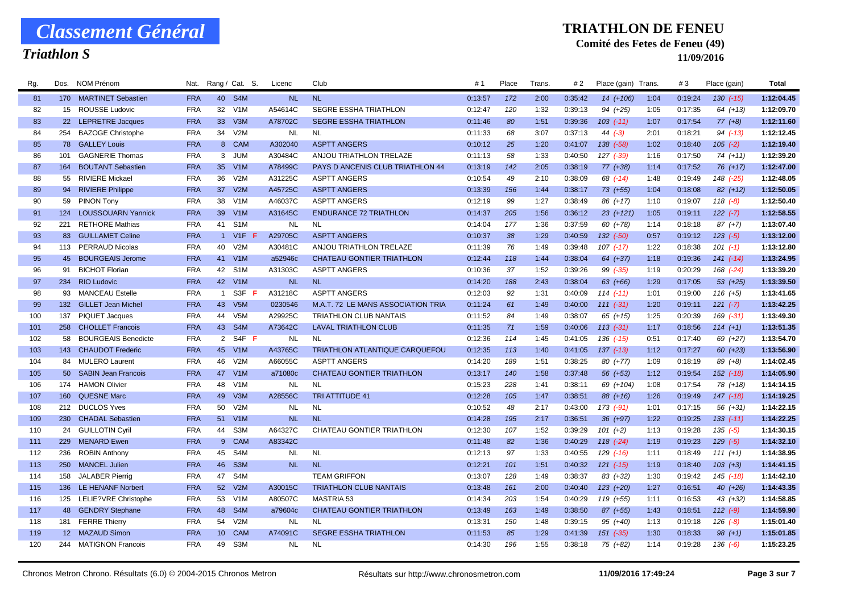## *Triathlon S*

#### **TRIATHLON DE FENEU**

### **Comité des Fetes de Feneu (49)**

| Rg. | NOM Prénom<br>Dos.                            | Nat.       |                 | Rang / Cat. S.       | Licenc    | Club                                  | #1      | Place | Trans. | # 2     | Place (gain) Trans |      | #3      | Place (gain)  | Total      |
|-----|-----------------------------------------------|------------|-----------------|----------------------|-----------|---------------------------------------|---------|-------|--------|---------|--------------------|------|---------|---------------|------------|
| 81  | 170 MARTINET Sebastien                        | <b>FRA</b> | 40              | S <sub>4</sub> M     | <b>NL</b> | <b>NL</b>                             | 0:13:57 | 172   | 2:00   | 0:35:42 | $14(+106)$         | 1:04 | 0:19:24 | $130$ $(-15)$ | 1:12:04.45 |
| 82  | 15 ROUSSE Ludovic                             | <b>FRA</b> | 32              | V1M                  | A54614C   | <b>SEGRE ESSHA TRIATHLON</b>          | 0:12:47 | 120   | 1:32   | 0:39:13 | $94 (+25)$         | 1:05 | 0:17:35 | $64 (+13)$    | 1:12:09.70 |
| 83  | 22 LEPRETRE Jacques                           | <b>FRA</b> | 33              | V3M                  | A78702C   | <b>SEGRE ESSHA TRIATHLON</b>          | 0:11:46 | 80    | 1:51   | 0:39:36 | $103$ $(-11)$      | 1:07 | 0:17:54 | $77(+8)$      | 1:12:11.60 |
| 84  | 254<br><b>BAZOGE Christophe</b>               | <b>FRA</b> | 34              | V <sub>2</sub> M     | NL        | <b>NL</b>                             | 0:11:33 | 68    | 3:07   | 0:37:13 | 44 $(-3)$          | 2:01 | 0:18:21 | $94( -13)$    | 1:12:12.45 |
| 85  | <b>GALLEY Louis</b><br>78                     | <b>FRA</b> | 8               | <b>CAM</b>           | A302040   | <b>ASPTT ANGERS</b>                   | 0:10:12 | 25    | 1:20   | 0:41:07 | $138$ $(-58)$      | 1:02 | 0:18:40 | $105$ $(-2)$  | 1:12:19.40 |
| 86  | <b>GAGNERIE Thomas</b><br>101                 | <b>FRA</b> | 3               | JUM                  | A30484C   | ANJOU TRIATHLON TRELAZE               | 0:11:13 | 58    | 1:33   | 0:40:50 | $127$ $(-39)$      | 1:16 | 0:17:50 | $74(+11)$     | 1:12:39.20 |
| 87  | <b>BOUTANT Sebastien</b><br>164               | <b>FRA</b> | 35              | V <sub>1</sub> M     | A78499C   | PAYS D ANCENIS CLUB TRIATHLON 44      | 0:13:19 | 142   | 2:05   | 0:38:19 | 77 (+38)           | 1:14 | 0:17:52 | $76(+17)$     | 1:12:47.00 |
| 88  | 55 RIVIERE Mickael                            | <b>FRA</b> | 36              | V2M                  | A31225C   | <b>ASPTT ANGERS</b>                   | 0:10:54 | 49    | 2:10   | 0:38:09 | 68 (-14)           | 1:48 | 0:19:49 | 148 (-25)     | 1:12:48.05 |
| 89  | 94 RIVIERE Philippe                           | <b>FRA</b> | 37              | V2M                  | A45725C   | <b>ASPTT ANGERS</b>                   | 0:13:39 | 156   | 1:44   | 0:38:17 | 73 (+55)           | 1:04 | 0:18:08 | $82 (+12)$    | 1:12:50.05 |
| 90  | 59 PINON Tony                                 | <b>FRA</b> | 38              | V1M                  | A46037C   | <b>ASPTT ANGERS</b>                   | 0:12:19 | 99    | 1:27   | 0:38:49 | 86 (+17)           | 1:10 | 0:19:07 | $118(-8)$     | 1:12:50.40 |
| 91  | 124 LOUSSOUARN Yannick                        | <b>FRA</b> | 39              | V <sub>1</sub> M     | A31645C   | <b>ENDURANCE 72 TRIATHLON</b>         | 0:14:37 | 205   | 1:56   | 0:36:12 | $23 (+121)$        | 1:05 | 0:19:11 | $122 (-7)$    | 1:12:58.55 |
| 92  | <b>RETHORE Mathias</b><br>221                 | <b>FRA</b> | 41              | S <sub>1</sub> M     | NL        | <b>NL</b>                             | 0:14:04 | 177   | 1:36   | 0:37:59 | $60 (+78)$         | 1:14 | 0:18:18 | $87(+7)$      | 1:13:07.40 |
| 93  | <b>GUILLAMET Celine</b><br>83                 | <b>FRA</b> |                 | 1 V1F                | A29705C   | <b>ASPTT ANGERS</b>                   | 0:10:37 | 38    | 1:29   | 0:40:59 | $132$ $(-50)$      | 0:57 | 0:19:12 | $123$ $(-5)$  | 1:13:12.00 |
| 94  | 113 PERRAUD Nicolas                           | <b>FRA</b> | 40              | V <sub>2</sub> M     | A30481C   | ANJOU TRIATHLON TRELAZE               | 0:11:39 | 76    | 1:49   | 0:39:48 | $107$ $(-17)$      | 1:22 | 0:18:38 | $101 (-1)$    | 1:13:12.80 |
| 95  | <b>BOURGEAIS Jerome</b><br>45                 | <b>FRA</b> | 41              | V1M                  | a52946c   | <b>CHATEAU GONTIER TRIATHLON</b>      | 0:12:44 | 118   | 1:44   | 0:38:04 | 64 (+37)           | 1:18 | 0:19:36 | $141 (-14)$   | 1:13:24.95 |
| 96  | <b>BICHOT Florian</b><br>91                   | <b>FRA</b> | 42              | S <sub>1</sub> M     | A31303C   | <b>ASPTT ANGERS</b>                   | 0:10:36 | 37    | 1:52   | 0:39:26 | $99 (-35)$         | 1:19 | 0:20:29 | 168 (-24)     | 1:13:39.20 |
| 97  | 234<br><b>RIO Ludovic</b>                     | <b>FRA</b> | 42              | V1M                  | <b>NL</b> | <b>NL</b>                             | 0:14:20 | 188   | 2:43   | 0:38:04 | 63 (+66)           | 1:29 | 0:17:05 | $53(+25)$     | 1:13:39.50 |
| 98  | <b>MANCEAU Estelle</b><br>93                  | <b>FRA</b> | $\mathbf{1}$    | S3F                  | A31218C   | <b>ASPTT ANGERS</b>                   | 0:12:03 | 92    | 1:31   | 0:40:09 | $114(-11)$         | 1:01 | 0:19:00 | $116 (+5)$    | 1:13:41.65 |
| 99  | 132 GILLET Jean Michel                        | <b>FRA</b> | 43              | V <sub>5</sub> M     | 0230546   | M.A.T. 72 LE MANS ASSOCIATION TRIA    | 0:11:24 | 61    | 1:49   | 0:40:00 | $111 (-31)$        | 1:20 | 0:19:11 | $121 (-7)$    | 1:13:42.25 |
| 100 | 137 PIQUET Jacques                            | <b>FRA</b> | 44              | V <sub>5</sub> M     | A29925C   | <b>TRIATHLON CLUB NANTAIS</b>         | 0:11:52 | 84    | 1:49   | 0:38:07 | $65 (+15)$         | 1:25 | 0:20:39 | 169 (-31)     | 1:13:49.30 |
| 101 | 258<br><b>CHOLLET Francois</b>                | <b>FRA</b> | 43              | S <sub>4</sub> M     | A73642C   | <b>LAVAL TRIATHLON CLUB</b>           | 0:11:35 | 71    | 1:59   | 0:40:06 | $113$ $(-31)$      | 1:17 | 0:18:56 | $114 (+1)$    | 1:13:51.35 |
| 102 | <b>BOURGEAIS Benedicte</b><br>58              | <b>FRA</b> | $\overline{2}$  | $S4F$ $\overline{F}$ | <b>NL</b> | <b>NL</b>                             | 0:12:36 | 114   | 1:45   | 0:41:05 | $136$ $(-15)$      | 0:51 | 0:17:40 | 69 (+27)      | 1:13:54.70 |
| 103 | 143 CHAUDOT Frederic                          | <b>FRA</b> | 45              | V1M                  | A43765C   | <b>TRIATHLON ATLANTIQUE CARQUEFOU</b> | 0:12:35 | 113   | 1:40   | 0:41:05 | $137$ $(-13)$      | 1:12 | 0:17:27 | $60 (+23)$    | 1:13:56.90 |
| 104 | <b>MULERO Laurent</b><br>84                   | <b>FRA</b> | 46              | V2M                  | A66055C   | <b>ASPTT ANGERS</b>                   | 0:14:20 | 189   | 1:51   | 0:38:25 | $80(+77)$          | 1:09 | 0:18:19 | $89(+8)$      | 1:14:02.45 |
| 105 | 50 <sup>°</sup><br><b>SABIN Jean Francois</b> | <b>FRA</b> | 47              | V1M                  | a71080c   | <b>CHATEAU GONTIER TRIATHLON</b>      | 0:13:17 | 140   | 1:58   | 0:37:48 | 56 (+53)           | 1:12 | 0:19:54 | 152 (-18)     | 1:14:05.90 |
| 106 | 174 HAMON Olivier                             | <b>FRA</b> | 48              | V1M                  | <b>NL</b> | <b>NL</b>                             | 0:15:23 | 228   | 1:41   | 0:38:11 | 69 (+104)          | 1:08 | 0:17:54 | 78 (+18)      | 1:14:14.15 |
| 107 | <b>QUESNE Marc</b><br>160                     | <b>FRA</b> | 49              | V3M                  | A28556C   | <b>TRI ATTITUDE 41</b>                | 0:12:28 | 105   | 1:47   | 0:38:51 | 88 (+16)           | 1:26 | 0:19:49 | $147$ (-18)   | 1:14:19.25 |
| 108 | <b>DUCLOS Yves</b><br>212                     | <b>FRA</b> | 50              | V2M                  | NL        | <b>NL</b>                             | 0:10:52 | 48    | 2:17   | 0:43:00 | 173 (-91)          | 1:01 | 0:17:15 | $56(+31)$     | 1:14:22.15 |
| 109 | <b>CHADAL Sebastien</b><br><b>230</b>         | <b>FRA</b> | 51              | V <sub>1</sub> M     | <b>NL</b> | <b>NL</b>                             | 0:14:28 | 195   | 2:17   | 0:36:51 | $36 (+97)$         | 1:22 | 0:19:25 | $133(-11)$    | 1:14:22.25 |
| 110 | 24 GUILLOTIN Cyril                            | <b>FRA</b> | 44              | S <sub>3</sub> M     | A64327C   | CHATEAU GONTIER TRIATHLON             | 0:12:30 | 107   | 1:52   | 0:39:29 | $101 (+2)$         | 1:13 | 0:19:28 | $135$ (-5)    | 1:14:30.15 |
| 111 | <b>MENARD Ewen</b><br>229                     | <b>FRA</b> | $9^{\circ}$     | <b>CAM</b>           | A83342C   |                                       | 0:11:48 | 82    | 1:36   | 0:40:29 | $118$ $(-24)$      | 1:19 | 0:19:23 | $129(-5)$     | 1:14:32.10 |
| 112 | <b>ROBIN Anthony</b><br>236                   | <b>FRA</b> | 45              | S4M                  | NL.       | <b>NL</b>                             | 0:12:13 | 97    | 1:33   | 0:40:55 | $129$ $(-16)$      | 1:11 | 0:18:49 | $111 (+1)$    | 1:14:38.95 |
| 113 | 250<br><b>MANCEL Julien</b>                   | <b>FRA</b> | 46              | S <sub>3</sub> M     | <b>NL</b> | <b>NL</b>                             | 0:12:21 | 101   | 1:51   | 0:40:32 | $121$ $(-15)$      | 1:19 | 0:18:40 | $103 (+3)$    | 1:14:41.15 |
| 114 | 158<br><b>JALABER Pierrig</b>                 | <b>FRA</b> | 47              | S <sub>4</sub> M     |           | <b>TEAM GRIFFON</b>                   | 0:13:07 | 128   | 1:49   | 0:38:37 | 83 (+32)           | 1:30 | 0:19:42 | 145 (-18)     | 1:14:42.10 |
| 115 | 136 LE HENANF Norbert                         | <b>FRA</b> | 52              | V2M                  | A30015C   | <b>TRIATHLON CLUB NANTAIS</b>         | 0:13:48 | 161   | 2:00   | 0:40:40 | $123 (+20)$        | 1:27 | 0:16:51 | $40 (+26)$    | 1:14:43.35 |
| 116 | 125 LELIE?VRE Christophe                      | <b>FRA</b> | 53              | V1M                  | A80507C   | <b>MASTRIA 53</b>                     | 0:14:34 | 203   | 1:54   | 0:40:29 | 119 (+55)          | 1:11 | 0:16:53 | 43 (+32)      | 1:14:58.85 |
| 117 | 48 GENDRY Stephane                            | <b>FRA</b> | 48              | S <sub>4</sub> M     | a79604c   | <b>CHATEAU GONTIER TRIATHLON</b>      | 0:13:49 | 163   | 1:49   | 0:38:50 | $87 (+55)$         | 1:43 | 0:18:51 | $112 (-9)$    | 1:14:59.90 |
| 118 | 181 FERRE Thierry                             | <b>FRA</b> | 54              | V2M                  | <b>NL</b> | <b>NL</b>                             | 0:13:31 | 150   | 1:48   | 0:39:15 | $95 (+40)$         | 1:13 | 0:19:18 | $126$ $(-8)$  | 1:15:01.40 |
| 119 | 12 MAZAUD Simon                               | <b>FRA</b> | 10 <sup>°</sup> | <b>CAM</b>           | A74091C   | <b>SEGRE ESSHA TRIATHLON</b>          | 0:11:53 | 85    | 1:29   | 0:41:39 | $151$ $(-35)$      | 1:30 | 0:18:33 | $98 (+1)$     | 1:15:01.85 |
| 120 | 244 MATIGNON Francois                         | <b>FRA</b> | 49              | S3M                  | <b>NL</b> | <b>NL</b>                             | 0:14:30 | 196   | 1:55   | 0:38:18 | 75 (+82)           | 1:14 | 0:19:28 | $136 (-6)$    | 1:15:23.25 |
|     |                                               |            |                 |                      |           |                                       |         |       |        |         |                    |      |         |               |            |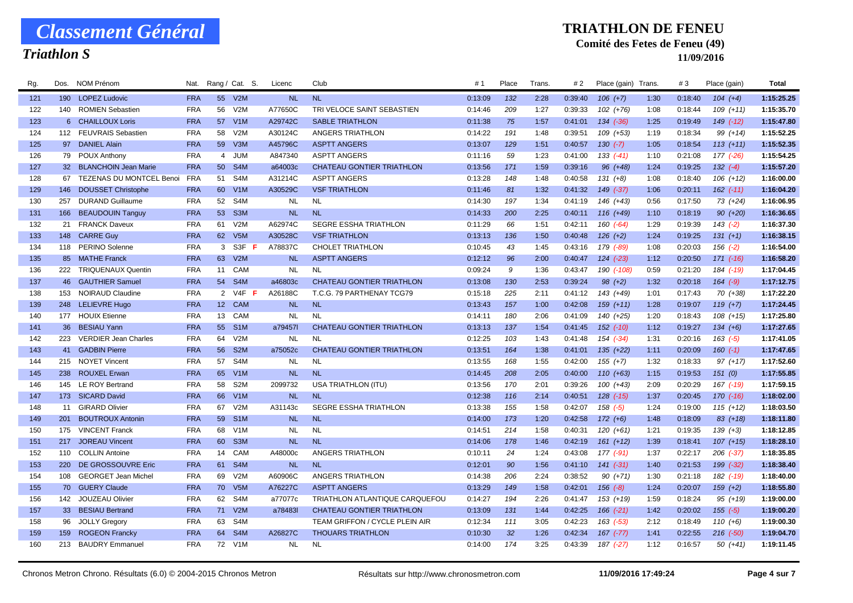## *Triathlon S*

#### **TRIATHLON DE FENEU**

### **Comité des Fetes de Feneu (49)**

| Rg. | Dos.            | NOM Prénom                  | Nat.       |                | Rang / Cat. S.   | Licenc    | Club                             | #1      | Place | I rans | #2      | Place (gain) Trans. |      | #3      | Place (gain)  | Total      |
|-----|-----------------|-----------------------------|------------|----------------|------------------|-----------|----------------------------------|---------|-------|--------|---------|---------------------|------|---------|---------------|------------|
| 121 |                 | 190 LOPEZ Ludovic           | <b>FRA</b> |                | 55 V2M           | <b>NL</b> | <b>NL</b>                        | 0:13:09 | 132   | 2:28   | 0:39:40 | $106 (+7)$          | 1:30 | 0:18:40 | $104 (+4)$    | 1:15:25.25 |
| 122 |                 | 140 ROMIEN Sebastien        | <b>FRA</b> | 56             | V <sub>2</sub> M | A77650C   | TRI VELOCE SAINT SEBASTIEN       | 0:14:46 | 209   | 1:27   | 0:39:33 | $102 (+76)$         | 1:08 | 0:18:44 | $109 (+11)$   | 1:15:35.70 |
| 123 |                 | 6 CHAILLOUX Loris           | <b>FRA</b> | 57             | V1M              | A29742C   | <b>SABLE TRIATHLON</b>           | 0:11:38 | 75    | 1:57   | 0:41:01 | $134 (-36)$         | 1:25 | 0:19:49 | 149 (-12)     | 1:15:47.80 |
| 124 |                 | 112 FEUVRAIS Sebastien      | <b>FRA</b> | 58             | V <sub>2</sub> M | A30124C   | ANGERS TRIATHLON                 | 0:14:22 | 191   | 1:48   | 0:39:51 | $109 (+53)$         | 1:19 | 0:18:34 | $99 (+14)$    | 1:15:52.25 |
| 125 |                 | 97 DANIEL Alain             | <b>FRA</b> | 59             | V3M              | A45796C   | <b>ASPTT ANGERS</b>              | 0:13:07 | 129   | 1:51   | 0:40:57 | $130 (-7)$          | 1:05 | 0:18:54 | $113 (+11)$   | 1:15:52.35 |
| 126 |                 | 79 POUX Anthony             | <b>FRA</b> | $\overline{4}$ | <b>JUM</b>       | A847340   | <b>ASPTT ANGERS</b>              | 0:11:16 | 59    | 1:23   | 0:41:00 | $133( -41)$         | 1:10 | 0:21:08 | 177 (-26)     | 1:15:54.25 |
| 127 |                 | 32 BLANCHOIN Jean Marie     | <b>FRA</b> | 50             | S <sub>4</sub> M | a64003c   | <b>CHATEAU GONTIER TRIATHLON</b> | 0:13:56 | 171   | 1:59   | 0:39:16 | $96 (+48)$          | 1:24 | 0:19:25 | $132 (-4)$    | 1:15:57.20 |
| 128 |                 | 67 TEZENAS DU MONTCEL Benoi | <b>FRA</b> | 51             | S4M              | A31214C   | <b>ASPTT ANGERS</b>              | 0:13:28 | 148   | 1:48   | 0:40:58 | $131 (+8)$          | 1:08 | 0:18:40 | $106 (+12)$   | 1:16:00.00 |
| 129 | 146             | <b>DOUSSET Christophe</b>   | <b>FRA</b> | 60             | V <sub>1</sub> M | A30529C   | <b>VSF TRIATHLON</b>             | 0:11:46 | 81    | 1:32   | 0:41:32 | $149$ $(-37)$       | 1:06 | 0:20:11 | $162$ $(-11)$ | 1:16:04.20 |
| 130 | 257             | <b>DURAND Guillaume</b>     | <b>FRA</b> | 52             | S <sub>4</sub> M | <b>NL</b> | <b>NL</b>                        | 0:14:30 | 197   | 1:34   | 0:41:19 | 146 (+43)           | 0:56 | 0:17:50 | 73 (+24)      | 1:16:06.95 |
| 131 |                 | 166 BEAUDOUIN Tanguy        | <b>FRA</b> | 53             | S <sub>3</sub> M | <b>NL</b> | <b>NL</b>                        | 0:14:33 | 200   | 2:25   | 0:40:11 | 116 (+49)           | 1:10 | 0:18:19 | $90 (+20)$    | 1:16:36.65 |
| 132 | 21              | <b>FRANCK Daveux</b>        | <b>FRA</b> | 61             | V2M              | A62974C   | <b>SEGRE ESSHA TRIATHLON</b>     | 0:11:29 | 66    | 1:51   | 0:42:11 | $160(-64)$          | 1:29 | 0:19:39 | $143$ (-2)    | 1:16:37.30 |
| 133 |                 | 148 CARRE Guy               | <b>FRA</b> | 62             | V5M              | A30528C   | <b>VSF TRIATHLON</b>             | 0:13:13 | 136   | 1:50   | 0:40:48 | $126 (+2)$          | 1:24 | 0:19:25 | $131 (+1)$    | 1:16:38.15 |
| 134 | 118             | <b>PERINO Solenne</b>       | <b>FRA</b> | 3              | S3F<br>-F        | A78837C   | <b>CHOLET TRIATHLON</b>          | 0:10:45 | 43    | 1:45   | 0:43:16 | 179 (-89)           | 1:08 | 0:20:03 | $156$ $(-2)$  | 1:16:54.00 |
| 135 | 85              | <b>MATHE Franck</b>         | <b>FRA</b> | 63             | V2M              | <b>NL</b> | <b>ASPTT ANGERS</b>              | 0:12:12 | 96    | 2:00   | 0:40:47 | $124$ $(-23)$       | 1:12 | 0:20:50 | $171$ (-16)   | 1:16:58.20 |
| 136 |                 | 222 TRIQUENAUX Quentin      | <b>FRA</b> | 11             | CAM              | <b>NL</b> | <b>NL</b>                        | 0:09:24 | 9     | 1:36   | 0:43:47 | 190 (-108)          | 0:59 | 0:21:20 | 184 (-19)     | 1:17:04.45 |
| 137 |                 | 46 GAUTHIER Samuel          | <b>FRA</b> | 54             | S <sub>4</sub> M | a46803c   | <b>CHATEAU GONTIER TRIATHLON</b> | 0:13:08 | 130   | 2:53   | 0:39:24 | $98 (+2)$           | 1:32 | 0:20:18 | $164 (-9)$    | 1:17:12.75 |
| 138 | 153             | <b>NOIRAUD Claudine</b>     | <b>FRA</b> |                | 2 V4F            | A26188C   | T.C.G. 79 PARTHENAY TCG79        | 0:15:18 | 225   | 2:11   | 0:41:12 | 143 (+49)           | 1:01 | 0:17:43 | $70(+38)$     | 1:17:22.20 |
| 139 |                 | 248 LELIEVRE Hugo           | <b>FRA</b> |                | 12 CAM           | <b>NL</b> | <b>NL</b>                        | 0:13:43 | 157   | 1:00   | 0:42:08 | $159(+11)$          | 1:28 | 0:19:07 | $119 (+7)$    | 1:17:24.45 |
| 140 |                 | 177 HOUIX Etienne           | FRA        | 13             | CAM              | <b>NL</b> | <b>NL</b>                        | 0:14:11 | 180   | 2:06   | 0:41:09 | 140 (+25)           | 1:20 | 0:18:43 | $108 (+15)$   | 1:17:25.80 |
| 141 | 36 <sup>2</sup> | <b>BESIAU Yann</b>          | <b>FRA</b> | 55             | S <sub>1</sub> M | a79457l   | <b>CHATEAU GONTIER TRIATHLON</b> | 0:13:13 | 137   | 1:54   | 0:41:45 | $152$ $(-10)$       | 1:12 | 0:19:27 | $134 (+6)$    | 1:17:27.65 |
| 142 | 223             | <b>VERDIER Jean Charles</b> | <b>FRA</b> | 64             | V2M              | <b>NL</b> | <b>NL</b>                        | 0:12:25 | 103   | 1:43   | 0:41:48 | 154 (-34)           | 1:31 | 0:20:16 | $163$ (-5)    | 1:17:41.05 |
| 143 |                 | 41 GADBIN Pierre            | <b>FRA</b> | 56             | S <sub>2</sub> M | a75052c   | <b>CHATEAU GONTIER TRIATHLON</b> | 0:13:51 | 164   | 1:38   | 0:41:01 | $135 (+22)$         | 1:11 | 0:20:09 | $160(-1)$     | 1:17:47.65 |
| 144 |                 | 215 NOYET Vincent           | <b>FRA</b> | 57             | S4M              | <b>NL</b> | <b>NL</b>                        | 0:13:55 | 168   | 1:55   | 0:42:00 | $155 (+7)$          | 1:32 | 0:18:33 | $97 (+17)$    | 1:17:52.60 |
| 145 |                 | 238 ROUXEL Erwan            | <b>FRA</b> | 65             | V1M              | <b>NL</b> | <b>NL</b>                        | 0:14:45 | 208   | 2:05   | 0:40:00 | $110 (+63)$         | 1:15 | 0:19:53 | 151(0)        | 1:17:55.85 |
| 146 | 145             | LE ROY Bertrand             | <b>FRA</b> | 58             | S <sub>2</sub> M | 2099732   | <b>USA TRIATHLON (ITU)</b>       | 0:13:56 | 170   | 2:01   | 0:39:26 | $100 (+43)$         | 2:09 | 0:20:29 | 167 (-19)     | 1:17:59.15 |
| 147 |                 | 173 SICARD David            | <b>FRA</b> | 66             | V1M              | <b>NL</b> | <b>NL</b>                        | 0:12:38 | 116   | 2:14   | 0:40:51 | $128$ $(-15)$       | 1:37 | 0:20:45 | $170$ $(-16)$ | 1:18:02.00 |
| 148 | 11              | <b>GIRARD Olivier</b>       | <b>FRA</b> | 67             | V2M              | A31143c   | SEGRE ESSHA TRIATHLON            | 0:13:38 | 155   | 1:58   | 0:42:07 | $158$ $(-5)$        | 1:24 | 0:19:00 | $115 (+12)$   | 1:18:03.50 |
| 149 | 201             | <b>BOUTROUX Antonin</b>     | <b>FRA</b> | 59             | S <sub>1</sub> M | <b>NL</b> | <b>NL</b>                        | 0:14:00 | 173   | 1:20   | 0:42:58 | $172 (+6)$          | 1:48 | 0:18:09 | $83(+18)$     | 1:18:11.80 |
| 150 | 175             | <b>VINCENT Franck</b>       | <b>FRA</b> | 68             | V <sub>1</sub> M | <b>NL</b> | <b>NL</b>                        | 0:14:51 | 214   | 1:58   | 0:40:31 | $120 (+61)$         | 1:21 | 0:19:35 | $139 (+3)$    | 1:18:12.85 |
| 151 | 217             | <b>JOREAU Vincent</b>       | <b>FRA</b> | 60             | S <sub>3</sub> M | <b>NL</b> | <b>NL</b>                        | 0:14:06 | 178   | 1:46   | 0:42:19 | $161 (+12)$         | 1:39 | 0:18:41 | $107 (+15)$   | 1:18:28.10 |
| 152 |                 | 110 COLLIN Antoine          | <b>FRA</b> | 14             | <b>CAM</b>       | A48000c   | ANGERS TRIATHLON                 | 0:10:11 | 24    | 1:24   | 0:43:08 | 177 (-91)           | 1:37 | 0:22:17 | $206$ $(-37)$ | 1:18:35.85 |
| 153 | 220             | DE GROSSOUVRE Eric          | <b>FRA</b> | 61             | S <sub>4</sub> M | <b>NL</b> | <b>NL</b>                        | 0:12:01 | 90    | 1:56   | 0:41:10 | $141 (-31)$         | 1:40 | 0:21:53 | $199 (-32)$   | 1:18:38.40 |
| 154 | 108             | <b>GEORGET Jean Michel</b>  | <b>FRA</b> | 69             | V2M              | A60906C   | ANGERS TRIATHLON                 | 0:14:38 | 206   | 2:24   | 0:38:52 | $90 (+71)$          | 1:30 | 0:21:18 | 182 (-19)     | 1:18:40.00 |
| 155 |                 | 70 GUERY Claude             | <b>FRA</b> | 70             | V <sub>5</sub> M | A76227C   | <b>ASPTT ANGERS</b>              | 0:13:29 | 149   | 1:58   | 0:42:01 | $156 (-8)$          | 1:24 | 0:20:07 | $159 (+2)$    | 1:18:55.80 |
| 156 | 142             | JOUZEAU Olivier             | <b>FRA</b> | 62             | S <sub>4</sub> M | a77077c   | TRIATHLON ATLANTIQUE CARQUEFOU   | 0:14:27 | 194   | 2:26   | 0:41:47 | $153 (+19)$         | 1:59 | 0:18:24 | $95(+19)$     | 1:19:00.00 |
| 157 |                 | 33 BESIAU Bertrand          | <b>FRA</b> | 71             | V2M              | a78483I   | <b>CHATEAU GONTIER TRIATHLON</b> | 0:13:09 | 131   | 1:44   | 0:42:25 | $166$ $(-21)$       | 1:42 | 0:20:02 | $155 (-5)$    | 1:19:00.20 |
| 158 | 96              | <b>JOLLY Gregory</b>        | FRA        | 63             | S <sub>4</sub> M |           | TEAM GRIFFON / CYCLE PLEIN AIR   | 0:12:34 | 111   | 3:05   | 0:42:23 | 163 (-53)           | 2:12 | 0:18:49 | $110 (+6)$    | 1:19:00.30 |
| 159 | 159             | <b>ROGEON Francky</b>       | <b>FRA</b> | 64             | S <sub>4</sub> M | A26827C   | <b>THOUARS TRIATHLON</b>         | 0:10:30 | 32    | 1:26   | 0:42:34 | $167$ $(-77)$       | 1:41 | 0:22:55 | $216$ (-50)   | 1:19:04.70 |
| 160 |                 | 213 BAUDRY Emmanuel         | <b>FRA</b> | 72             | V1M              | <b>NL</b> | <b>NL</b>                        | 0:14:00 | 174   | 3:25   | 0:43:39 | 187 (-27)           | 1:12 | 0:16:57 | $50(+41)$     | 1:19:11.45 |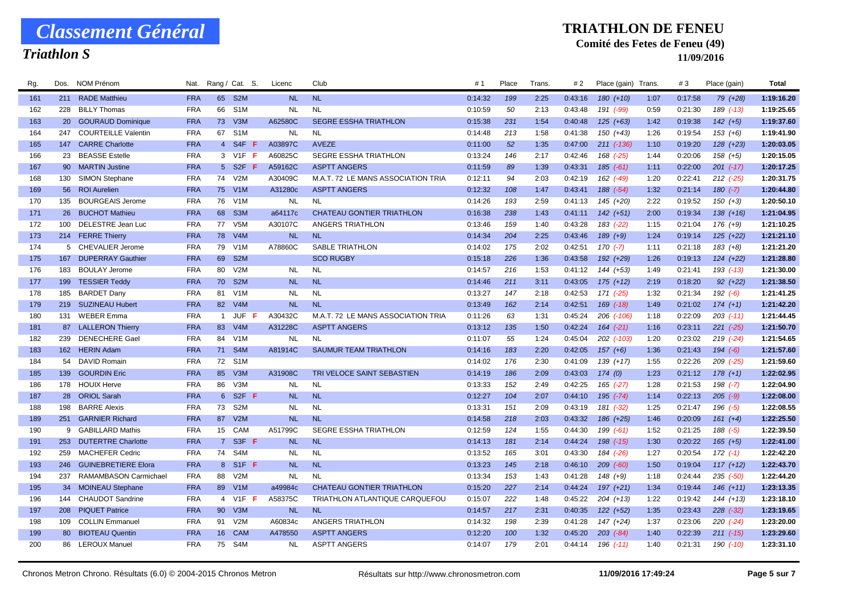## *Triathlon S*

#### **TRIATHLON DE FENEU**

### **Comité des Fetes de Feneu (49)**

| Rg. | Dos.            | NOM Prénom                 | Nat.       |                | Rang / Cat. S.   | Licenc    | Club                               | #1      | Place | Trans. | # 2     | Place (gain) Trans. |      | #3      | Place (gain)  | Total      |
|-----|-----------------|----------------------------|------------|----------------|------------------|-----------|------------------------------------|---------|-------|--------|---------|---------------------|------|---------|---------------|------------|
| 161 |                 | 211 RADE Matthieu          | <b>FRA</b> | 65             | S <sub>2</sub> M | <b>NL</b> | <b>NL</b>                          | 0:14:32 | 199   | 2:25   | 0:43:16 | $180 (+10)$         | 1:07 | 0:17:58 | 79 (+28)      | 1:19:16.20 |
| 162 | 228             | <b>BILLY Thomas</b>        | <b>FRA</b> | 66             | S <sub>1</sub> M | <b>NL</b> | <b>NL</b>                          | 0:10:59 | 50    | 2:13   | 0:43:48 | 191 (-99)           | 0:59 | 0:21:30 | 189 (-13)     | 1:19:25.65 |
| 163 |                 | 20 GOURAUD Dominique       | <b>FRA</b> | 73             | V3M              | A62580C   | <b>SEGRE ESSHA TRIATHLON</b>       | 0:15:38 | 231   | 1:54   | 0:40:48 | $125 (+63)$         | 1:42 | 0:19:38 | $142 (+5)$    | 1:19:37.60 |
| 164 | 247             | <b>COURTEILLE Valentin</b> | <b>FRA</b> | 67             | S <sub>1</sub> M | NL        | <b>NL</b>                          | 0:14:48 | 213   | 1:58   | 0:41:38 | 150 (+43)           | 1:26 | 0:19:54 | $153(+6)$     | 1:19:41.90 |
| 165 | 147             | <b>CARRE Charlotte</b>     | <b>FRA</b> |                | 4 S4F<br>-F      | A03897C   | <b>AVEZE</b>                       | 0:11:00 | 52    | 1:35   | 0:47:00 | 211 (-136)          | 1:10 | 0:19:20 | $128 (+23)$   | 1:20:03.05 |
| 166 | 23              | <b>BEASSE Estelle</b>      | <b>FRA</b> |                | 3 V1F F          | A60825C   | <b>SEGRE ESSHA TRIATHLON</b>       | 0:13:24 | 146   | 2:17   | 0:42:46 | 168 (-25)           | 1:44 | 0:20:06 | $158(+5)$     | 1:20:15.05 |
| 167 | 90              | <b>MARTIN Justine</b>      | <b>FRA</b> |                | 5 S2F F          | A59162C   | <b>ASPTT ANGERS</b>                | 0:11:59 | 89    | 1:39   | 0:43:31 | $185(-61)$          | 1:11 | 0:22:00 | $201$ (-17)   | 1:20:17.25 |
| 168 | 130             | <b>SIMON Stephane</b>      | <b>FRA</b> |                | 74 V2M           | A30409C   | M.A.T. 72 LE MANS ASSOCIATION TRIA | 0:12:11 | 94    | 2:03   | 0:42:19 | 162 (-49)           | 1:20 | 0:22:41 | $212$ (-25)   | 1:20:31.75 |
| 169 | 56              | <b>ROI Aurelien</b>        | <b>FRA</b> | 75             | V1M              | A31280c   | <b>ASPTT ANGERS</b>                | 0:12:32 | 108   | 1:47   | 0:43:41 | $188$ $(-54)$       | 1:32 | 0:21:14 | $180 (-7)$    | 1:20:44.80 |
| 170 | 135             | <b>BOURGEAIS Jerome</b>    | <b>FRA</b> | 76             | V1M              | <b>NL</b> | <b>NL</b>                          | 0:14:26 | 193   | 2:59   | 0:41:13 | 145 (+20)           | 2:22 | 0:19:52 | $150(+3)$     | 1:20:50.10 |
| 171 | 26 <sup>2</sup> | <b>BUCHOT Mathieu</b>      | <b>FRA</b> | 68             | S <sub>3</sub> M | a64117c   | <b>CHATEAU GONTIER TRIATHLON</b>   | 0:16:38 | 238   | 1:43   | 0:41:11 | $142 (+51)$         | 2:00 | 0:19:34 | $138 (+16)$   | 1:21:04.95 |
| 172 | 100             | DELESTRE Jean Luc          | <b>FRA</b> | 77             | V <sub>5</sub> M | A30107C   | ANGERS TRIATHLON                   | 0:13:46 | 159   | 1:40   | 0:43:28 | 183 (-22)           | 1:15 | 0:21:04 | $176(+9)$     | 1:21:10.25 |
| 173 |                 | 214 FERRE Thierry          | <b>FRA</b> | 78             | V <sub>4</sub> M | <b>NL</b> | <b>NL</b>                          | 0:14:34 | 204   | 2:25   | 0:43:46 | $189 (+9)$          | 1:24 | 0:19:14 | $125 (+22)$   | 1:21:21.10 |
| 174 |                 | 5 CHEVALIER Jerome         | <b>FRA</b> | 79             | V <sub>1</sub> M | A78860C   | SABLE TRIATHLON                    | 0:14:02 | 175   | 2:02   | 0:42:51 | $170(-7)$           | 1:11 | 0:21:18 | $183 (+8)$    | 1:21:21.20 |
| 175 | 167             | <b>DUPERRAY Gauthier</b>   | <b>FRA</b> | 69             | S <sub>2</sub> M |           | <b>SCO RUGBY</b>                   | 0:15:18 | 226   | 1:36   | 0:43:58 | 192 (+29)           | 1:26 | 0:19:13 | $124 (+22)$   | 1:21:28.80 |
| 176 | 183             | <b>BOULAY Jerome</b>       | <b>FRA</b> | 80             | V2M              | <b>NL</b> | <b>NL</b>                          | 0:14:57 | 216   | 1:53   | 0:41:12 | 144 (+53)           | 1:49 | 0:21:41 | 193 (-13)     | 1:21:30.00 |
| 177 | 199             | <b>TESSIER Teddy</b>       | <b>FRA</b> | 70             | S <sub>2</sub> M | <b>NL</b> | <b>NL</b>                          | 0:14:46 | 211   | 3:11   | 0:43:05 | $175 (+12)$         | 2:19 | 0:18:20 | $92 (+22)$    | 1:21:38.50 |
| 178 | 185             | <b>BARDET Dany</b>         | <b>FRA</b> | 81             | V1M              | <b>NL</b> | <b>NL</b>                          | 0:13:27 | 147   | 2:18   | 0:42:53 | 171 (-25)           | 1:32 | 0:21:34 | $192( -6)$    | 1:21:41.25 |
| 179 |                 | 219 SUZINEAU Hubert        | <b>FRA</b> | 82             | V4M              | <b>NL</b> | <b>NL</b>                          | 0:13:49 | 162   | 2:14   | 0:42:51 | $169$ $(-18)$       | 1:49 | 0:21:02 | $174 (+1)$    | 1:21:42.20 |
| 180 | 131             | <b>WEBER Emma</b>          | <b>FRA</b> | $\overline{1}$ | JUF <b>F</b>     | A30432C   | M.A.T. 72 LE MANS ASSOCIATION TRIA | 0:11:26 | 63    | 1:31   | 0:45:24 | 206 (-106)          | 1:18 | 0:22:09 | $203$ (-11)   | 1:21:44.45 |
| 181 | 87              | <b>LALLERON Thierry</b>    | <b>FRA</b> | 83             | V4M              | A31228C   | <b>ASPTT ANGERS</b>                | 0:13:12 | 135   | 1:50   | 0:42:24 | $164$ $(-21)$       | 1:16 | 0:23:11 | $221 (-25)$   | 1:21:50.70 |
| 182 | 239             | <b>DENECHERE Gael</b>      | <b>FRA</b> | 84             | V1M              | <b>NL</b> | <b>NL</b>                          | 0:11:07 | 55    | 1:24   | 0:45:04 | 202 (-103)          | 1:20 | 0:23:02 | $219$ $(-24)$ | 1:21:54.65 |
| 183 | 162             | <b>HERIN Adam</b>          | <b>FRA</b> | 71             | S <sub>4</sub> M | A81914C   | <b>SAUMUR TEAM TRIATHLON</b>       | 0:14:16 | 183   | 2:20   | 0:42:05 | $157 (+6)$          | 1:36 | 0:21:43 | $194 (-6)$    | 1:21:57.60 |
| 184 | 54              | DAVID Romain               | <b>FRA</b> |                | 72 S1M           |           |                                    | 0:14:02 | 176   | 2:30   | 0:41:09 | $139 (+17)$         | 1:55 | 0:22:26 | $209$ (-25)   | 1:21:59.60 |
| 185 | 139             | <b>GOURDIN Eric</b>        | <b>FRA</b> | 85             | V3M              | A31908C   | TRI VELOCE SAINT SEBASTIEN         | 0:14:19 | 186   | 2:09   | 0:43:03 | 174(0)              | 1:23 | 0:21:12 | $178 (+1)$    | 1:22:02.95 |
| 186 | 178             | <b>HOUIX Herve</b>         | <b>FRA</b> | 86             | V3M              | <b>NL</b> | <b>NL</b>                          | 0:13:33 | 152   | 2:49   | 0:42:25 | 165 (-27)           | 1:28 | 0:21:53 | $198$ $(-7)$  | 1:22:04.90 |
| 187 | 28              | <b>ORIOL Sarah</b>         | <b>FRA</b> | 6              | $S2F$ F          | <b>NL</b> | <b>NL</b>                          | 0:12:27 | 104   | 2:07   | 0:44:10 | $195$ $(-74)$       | 1:14 | 0:22:13 | $205$ $(-9)$  | 1:22:08.00 |
| 188 | 198             | <b>BARRE Alexis</b>        | <b>FRA</b> | 73             | S <sub>2</sub> M | <b>NL</b> | <b>NL</b>                          | 0:13:31 | 151   | 2:09   | 0:43:19 | $181 (-32)$         | 1:25 | 0:21:47 | $196$ $(-5)$  | 1:22:08.55 |
| 189 | 251             | <b>GARNIER Richard</b>     | <b>FRA</b> | 87             | V2M              | <b>NL</b> | <b>NL</b>                          | 0:14:58 | 218   | 2:03   | 0:43:32 | 186 (+25)           | 1:46 | 0:20:09 | $161 (+4)$    | 1:22:25.50 |
| 190 | 9               | <b>GABILLARD Mathis</b>    | <b>FRA</b> | 15             | <b>CAM</b>       | A51799C   | SEGRE ESSHA TRIATHLON              | 0:12:59 | 124   | 1:55   | 0:44:30 | $199( -61)$         | 1:52 | 0:21:25 | $188$ (-5)    | 1:22:39.50 |
| 191 | 253             | <b>DUTERTRE Charlotte</b>  | <b>FRA</b> | 7 <sup>7</sup> | S3F F            | <b>NL</b> | <b>NL</b>                          | 0:14:13 | 181   | 2:14   | 0:44:24 | $198$ $(-15)$       | 1:30 | 0:20:22 | $165 (+5)$    | 1:22:41.00 |
| 192 | 259             | <b>MACHEFER Cedric</b>     | <b>FRA</b> | 74             | S4M              | <b>NL</b> | <b>NL</b>                          | 0:13:52 | 165   | 3:01   | 0:43:30 | 184 (-26)           | 1:27 | 0:20:54 | $172$ $(-1)$  | 1:22:42.20 |
| 193 | 246             | <b>GUINEBRETIERE Elora</b> | <b>FRA</b> |                | 8 S1F F          | <b>NL</b> | <b>NL</b>                          | 0:13:23 | 145   | 2:18   | 0:46:10 | $209$ $(-60)$       | 1:50 | 0:19:04 | $117 (+12)$   | 1:22:43.70 |
| 194 | 237             | RAMAMBASON Carmichael      | <b>FRA</b> | 88             | V2M              | <b>NL</b> | <b>NL</b>                          | 0:13:34 | 153   | 1:43   | 0:41:28 | $148 (+9)$          | 1:18 | 0:24:44 | $235$ $(-50)$ | 1:22:44.20 |
| 195 |                 | 34 MOINEAU Stephane        | <b>FRA</b> | 89             | V1M              | a49984c   | <b>CHATEAU GONTIER TRIATHLON</b>   | 0:15:20 | 227   | 2:14   | 0:44:24 | $197 (+21)$         | 1:34 | 0:19:44 | $146 (+11)$   | 1:23:13.35 |
| 196 | 144             | <b>CHAUDOT Sandrine</b>    | <b>FRA</b> | $\overline{4}$ | V1F              | A58375C   | TRIATHLON ATLANTIQUE CARQUEFOU     | 0:15:07 | 222   | 1:48   | 0:45:22 | $204 (+13)$         | 1:22 | 0:19:42 | $144 (+13)$   | 1:23:18.10 |
| 197 | 208             | <b>PIQUET Patrice</b>      | <b>FRA</b> | 90             | V3M              | <b>NL</b> | <b>NL</b>                          | 0:14:57 | 217   | 2:31   | 0:40:35 | $122 (+52)$         | 1:35 | 0:23:43 | $228$ $(-32)$ | 1:23:19.65 |
| 198 | 109             | <b>COLLIN Emmanuel</b>     | <b>FRA</b> | 91             | V2M              | A60834c   | ANGERS TRIATHLON                   | 0:14:32 | 198   | 2:39   | 0:41:28 | $147 (+24)$         | 1:37 | 0:23:06 | $220( -24)$   | 1:23:20.00 |
| 199 | 80              | <b>BIOTEAU Quentin</b>     | <b>FRA</b> | 16             | <b>CAM</b>       | A478550   | <b>ASPTT ANGERS</b>                | 0:12:20 | 100   | 1:32   | 0:45:20 | $203$ $(-84)$       | 1:40 | 0:22:39 | $211 (-15)$   | 1:23:29.60 |
| 200 |                 | 86 LEROUX Manuel           | <b>FRA</b> |                | 75 S4M           | <b>NL</b> | <b>ASPTT ANGERS</b>                | 0:14:07 | 179   | 2:01   | 0:44:14 | $196$ $(-11)$       | 1:40 | 0:21:31 | 190 (-10)     | 1:23:31.10 |
|     |                 |                            |            |                |                  |           |                                    |         |       |        |         |                     |      |         |               |            |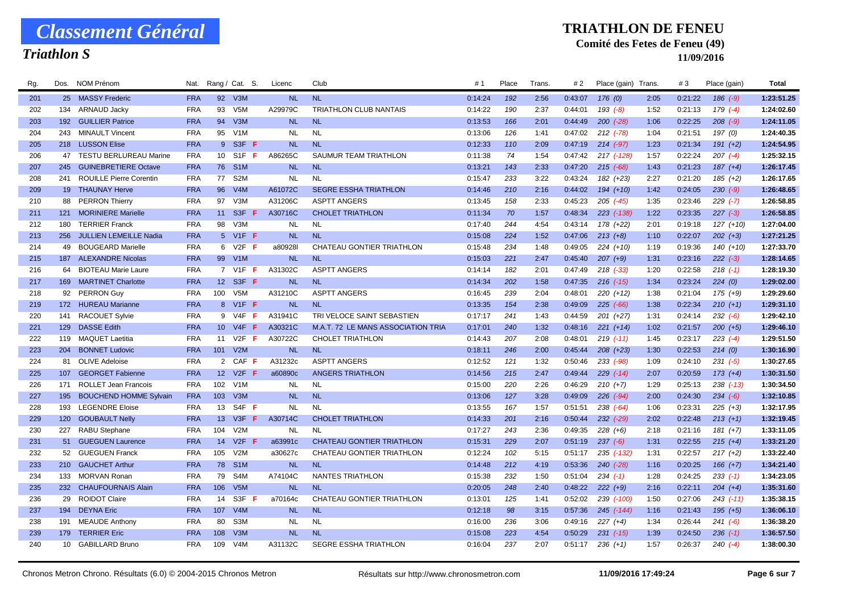## *Triathlon S*

#### **TRIATHLON DE FENEU**

### **Comité des Fetes de Feneu (49)**

| Rg. | Dos. | NOM Prénom                     | Nat.       | Rang / Cat.     | S.                            | Licenc    | Club                               | #1      | Place | Trans | # 2     | Place (gain) Trans. |      | #3      | Place (gain)  | Total      |
|-----|------|--------------------------------|------------|-----------------|-------------------------------|-----------|------------------------------------|---------|-------|-------|---------|---------------------|------|---------|---------------|------------|
| 201 |      | 25 MASSY Frederic              | <b>FRA</b> |                 | 92 V3M                        | <b>NL</b> | <b>NL</b>                          | 0:14:24 | 192   | 2:56  | 0:43:07 | 176(0)              | 2:05 | 0:21:22 | $186$ $(-9)$  | 1:23:51.25 |
| 202 |      | 134 ARNAUD Jacky               | <b>FRA</b> | 93              | V <sub>5</sub> M              | A29979C   | <b>TRIATHLON CLUB NANTAIS</b>      | 0:14:22 | 190   | 2:37  | 0:44:01 | $193(-8)$           | 1:52 | 0:21:13 | 179 (-4)      | 1:24:02.60 |
| 203 | 192  | <b>GUILLIER Patrice</b>        | <b>FRA</b> | 94              | V3M                           | <b>NL</b> | <b>NL</b>                          | 0:13:53 | 166   | 2:01  | 0:44:49 | $200 (-28)$         | 1:06 | 0:22:25 | $208$ $(-9)$  | 1:24:11.05 |
| 204 | 243  | <b>MINAULT Vincent</b>         | <b>FRA</b> | 95              | V <sub>1</sub> M              | <b>NL</b> | <b>NL</b>                          | 0:13:06 | 126   | 1:41  | 0:47:02 | 212 (-78)           | 1:04 | 0:21:51 | 197 (0)       | 1:24:40.35 |
| 205 |      | 218 LUSSON Elise               | <b>FRA</b> |                 | 9 S3F F                       | <b>NL</b> | <b>NL</b>                          | 0:12:33 | 110   | 2:09  | 0:47:19 | $214 (-97)$         | 1:23 | 0:21:34 | $191 (+2)$    | 1:24:54.95 |
| 206 | 47   | <b>TESTU BERLUREAU Marine</b>  | <b>FRA</b> | 10              | S <sub>1</sub> F <sub>F</sub> | A86265C   | SAUMUR TEAM TRIATHLON              | 0:11:38 | 74    | 1:54  | 0:47:42 | 217 (-128)          | 1:57 | 0:22:24 | $207$ $(-4)$  | 1:25:32.15 |
| 207 | 245  | <b>GUINEBRETIERE Octave</b>    | <b>FRA</b> | 76              | S <sub>1</sub> M              | <b>NL</b> | <b>NL</b>                          | 0:13:21 | 143   | 2:33  | 0:47:20 | $215$ (-68)         | 1:43 | 0:21:23 | $187 (+4)$    | 1:26:17.45 |
| 208 | 241  | <b>ROUILLE Pierre Corentin</b> | <b>FRA</b> | 77              | S <sub>2</sub> M              | <b>NL</b> | <b>NL</b>                          | 0:15:47 | 233   | 3:22  | 0:43:24 | 182 (+23)           | 2:27 | 0:21:20 | $185 (+2)$    | 1:26:17.65 |
| 209 | 19   | <b>THAUNAY Herve</b>           | <b>FRA</b> | 96              | V4M                           | A61072C   | <b>SEGRE ESSHA TRIATHLON</b>       | 0:14:46 | 210   | 2:16  | 0:44:02 | $194 (+10)$         | 1:42 | 0:24:05 | $230 (-9)$    | 1:26:48.65 |
| 210 | 88   | <b>PERRON Thierry</b>          | <b>FRA</b> | 97              | V <sub>3</sub> M              | A31206C   | <b>ASPTT ANGERS</b>                | 0:13:45 | 158   | 2:33  | 0:45:23 | 205 (-45)           | 1:35 | 0:23:46 | $229$ (-7)    | 1:26:58.85 |
| 211 | 121  | <b>MORINIERE Marielle</b>      | <b>FRA</b> | 11              | S3F<br>-F                     | A30716C   | <b>CHOLET TRIATHLON</b>            | 0:11:34 | 70    | 1:57  | 0:48:34 | $223$ $(-138)$      | 1:22 | 0:23:35 | $227 (-3)$    | 1:26:58.85 |
| 212 | 180  | <b>TERRIER Franck</b>          | <b>FRA</b> | 98              | V3M                           | <b>NL</b> | <b>NL</b>                          | 0:17:40 | 244   | 4:54  | 0:43:14 | 178 (+22)           | 2:01 | 0:19:18 | 127 (+10)     | 1:27:04.00 |
| 213 |      | 256 JULLIEN LEMEILLE Nadia     | <b>FRA</b> |                 | 5 V1F F                       | <b>NL</b> | <b>NL</b>                          | 0:15:08 | 224   | 1:52  | 0:47:06 | $213 (+8)$          | 1:10 | 0:22:07 | $202 (+3)$    | 1:27:21.25 |
| 214 | 49   | <b>BOUGEARD Marielle</b>       | <b>FRA</b> | 6               | V2F F                         | a80928l   | CHATEAU GONTIER TRIATHLON          | 0:15:48 | 234   | 1:48  | 0:49:05 | $224 (+10)$         | 1:19 | 0:19:36 | $140 (+10)$   | 1:27:33.70 |
| 215 | 187  | <b>ALEXANDRE Nicolas</b>       | <b>FRA</b> | 99              | V <sub>1</sub> M              | <b>NL</b> | <b>NL</b>                          | 0:15:03 | 221   | 2:47  | 0:45:40 | $207 (+9)$          | 1:31 | 0:23:16 | $222 (-3)$    | 1:28:14.65 |
| 216 | 64   | <b>BIOTEAU Marie Laure</b>     | <b>FRA</b> |                 | 7 V1F F                       | A31302C   | <b>ASPTT ANGERS</b>                | 0:14:14 | 182   | 2:01  | 0:47:49 | $218$ $(-33)$       | 1:20 | 0:22:58 | $218$ $(-1)$  | 1:28:19.30 |
| 217 | 169  | <b>MARTINET Charlotte</b>      | <b>FRA</b> | 12              | S3F F                         | <b>NL</b> | <b>NL</b>                          | 0:14:34 | 202   | 1:58  | 0:47:35 | $216$ $(-15)$       | 1:34 | 0:23:24 | 224(0)        | 1:29:02.00 |
| 218 | 92   | <b>PERRON Guy</b>              | <b>FRA</b> | 100             | V <sub>5</sub> M              | A31210C   | <b>ASPTT ANGERS</b>                | 0:16:45 | 239   | 2:04  | 0:48:01 | $220 (+12)$         | 1:38 | 0:21:04 | $175(+9)$     | 1:29:29.60 |
| 219 |      | 172 HUREAU Marianne            | <b>FRA</b> |                 | 8 V1F F                       | <b>NL</b> | <b>NL</b>                          | 0:13:35 | 154   | 2:38  | 0:49:09 | $225$ (-66)         | 1:38 | 0:22:34 | $210 (+1)$    | 1:29:31.10 |
| 220 | 141  | <b>RACOUET Sylvie</b>          | <b>FRA</b> |                 | 9 V4F F                       | A31941C   | TRI VELOCE SAINT SEBASTIEN         | 0:17:17 | 241   | 1:43  | 0:44:59 | 201 (+27)           | 1:31 | 0:24:14 | $232 (-6)$    | 1:29:42.10 |
| 221 | 129  | <b>DASSE Edith</b>             | <b>FRA</b> | 10 <sup>1</sup> | $V4F$ F                       | A30321C   | M.A.T. 72 LE MANS ASSOCIATION TRIA | 0:17:01 | 240   | 1:32  | 0:48:16 | $221 (+14)$         | 1:02 | 0:21:57 | $200 (+5)$    | 1:29:46.10 |
| 222 | 119  | <b>MAQUET Laetitia</b>         | <b>FRA</b> | 11              | $V2F$ F                       | A30722C   | <b>CHOLET TRIATHLON</b>            | 0:14:43 | 207   | 2:08  | 0:48:01 | $219( -11)$         | 1:45 | 0:23:17 | $223(-4)$     | 1:29:51.50 |
| 223 | 204  | <b>BONNET Ludovic</b>          | <b>FRA</b> | 101             | V2M                           | <b>NL</b> | <b>NL</b>                          | 0:18:11 | 246   | 2:00  | 0:45:44 | $208 (+23)$         | 1:30 | 0:22:53 | 214(0)        | 1:30:16.90 |
| 224 | 81   | <b>OLIVE Adeloise</b>          | <b>FRA</b> |                 | 2 CAF                         | A31232c   | <b>ASPTT ANGERS</b>                | 0:12:52 | 121   | 1:32  | 0:50:46 | $233 (-98)$         | 1:09 | 0:24:10 | $231 (-5)$    | 1:30:27.65 |
| 225 | 107  | <b>GEORGET Fabienne</b>        | <b>FRA</b> | 12 <sup>2</sup> | V2F<br>-F                     | a60890c   | <b>ANGERS TRIATHLON</b>            | 0:14:56 | 215   | 2:47  | 0:49:44 | $229$ $(-14)$       | 2:07 | 0:20:59 | $173 (+4)$    | 1:30:31.50 |
| 226 | 171  | ROLLET Jean Francois           | <b>FRA</b> | 102             | V1M                           | NL        | <b>NL</b>                          | 0:15:00 | 220   | 2:26  | 0:46:29 | $210 (+7)$          | 1:29 | 0:25:13 | $238$ $(-13)$ | 1:30:34.50 |
| 227 | 195  | <b>BOUCHEND HOMME Sylvain</b>  | <b>FRA</b> | 103             | V3M                           | <b>NL</b> | <b>NL</b>                          | 0:13:06 | 127   | 3:28  | 0:49:09 | $226$ $(-94)$       | 2:00 | 0:24:30 | $234 (-6)$    | 1:32:10.85 |
| 228 | 193  | <b>LEGENDRE Eloise</b>         | <b>FRA</b> | 13              | $S4F$ F                       | NL.       | <b>NL</b>                          | 0:13:55 | 167   | 1:57  | 0:51:51 | $238 (-64)$         | 1:06 | 0:23:31 | $225 (+3)$    | 1:32:17.95 |
| 229 |      | 120 GOUBAULT Nelly             | <b>FRA</b> | 13              | $V3F$ F                       | A30714C   | <b>CHOLET TRIATHLON</b>            | 0:14:33 | 201   | 2:16  | 0:50:44 | 232 (-29)           | 2:02 | 0:22:48 | $213 (+1)$    | 1:32:19.45 |
| 230 | 227  | <b>RABU Stephane</b>           | <b>FRA</b> | 104             | V2M                           | <b>NL</b> | <b>NL</b>                          | 0:17:27 | 243   | 2:36  | 0:49:35 | $228 (+6)$          | 2:18 | 0:21:16 | $181 (+7)$    | 1:33:11.05 |
| 231 | 51   | <b>GUEGUEN Laurence</b>        | <b>FRA</b> | 14              | V2F                           | a63991c   | <b>CHATEAU GONTIER TRIATHLON</b>   | 0:15:31 | 229   | 2:07  | 0:51:19 | $237 (-6)$          | 1:31 | 0:22:55 | $215 (+4)$    | 1:33:21.20 |
| 232 | 52   | <b>GUEGUEN Franck</b>          | <b>FRA</b> | 105             | V2M                           | a30627c   | <b>CHATEAU GONTIER TRIATHLON</b>   | 0:12:24 | 102   | 5:15  | 0:51:17 | 235 (-132)          | 1:31 | 0:22:57 | $217 (+2)$    | 1:33:22.40 |
| 233 | 210  | <b>GAUCHET Arthur</b>          | <b>FRA</b> | 78              | S <sub>1</sub> M              | <b>NL</b> | <b>NL</b>                          | 0:14:48 | 212   | 4:19  | 0:53:36 | $240$ (-28)         | 1:16 | 0:20:25 | $166 (+7)$    | 1:34:21.40 |
| 234 | 133  | MORVAN Ronan                   | <b>FRA</b> | 79              | S <sub>4</sub> M              | A74104C   | <b>NANTES TRIATHLON</b>            | 0:15:38 | 232   | 1:50  | 0:51:04 | $234$ (-1)          | 1:28 | 0:24:25 | $233(-1)$     | 1:34:23.05 |
| 235 | 232  | <b>CHAUFOURNAIS Alain</b>      | <b>FRA</b> | 106             | V5M                           | <b>NL</b> | <b>NL</b>                          | 0:20:05 | 248   | 2:40  | 0:48:22 | $222 (+9)$          | 2:16 | 0:22:11 | $204 (+4)$    | 1:35:31.60 |
| 236 | 29   | <b>ROIDOT Claire</b>           | FRA        | 14              | S3F                           | a70164c   | CHATEAU GONTIER TRIATHLON          | 0:13:01 | 125   | 1:41  | 0:52:02 | 239 (-100)          | 1:50 | 0:27:06 | $243$ (-11)   | 1:35:38.15 |
| 237 | 194  | <b>DEYNA Eric</b>              | <b>FRA</b> | 107             | V4M                           | <b>NL</b> | <b>NL</b>                          | 0:12:18 | 98    | 3:15  | 0:57:36 | 245 (-144)          | 1:16 | 0:21:43 | $195 (+5)$    | 1:36:06.10 |
| 238 | 191  | <b>MEAUDE Anthony</b>          | <b>FRA</b> | 80              | S <sub>3</sub> M              | NL.       | <b>NL</b>                          | 0:16:00 | 236   | 3:06  | 0:49:16 | $227 (+4)$          | 1:34 | 0:26:44 | $241 (-6)$    | 1:36:38.20 |
| 239 |      | 179 TERRIER Eric               | <b>FRA</b> | 108             | V <sub>3</sub> M              | <b>NL</b> | <b>NL</b>                          | 0:15:08 | 223   | 4:54  | 0:50:29 | $231$ (-15)         | 1:39 | 0:24:50 | $236$ $(-1)$  | 1:36:57.50 |
| 240 |      | 10 GABILLARD Bruno             | <b>FRA</b> | 109             | V4M                           | A31132C   | <b>SEGRE ESSHA TRIATHLON</b>       | 0:16:04 | 237   | 2:07  | 0:51:17 | $236 (+1)$          | 1:57 | 0:26:37 | $240 (-4)$    | 1:38:00.30 |
|     |      |                                |            |                 |                               |           |                                    |         |       |       |         |                     |      |         |               |            |